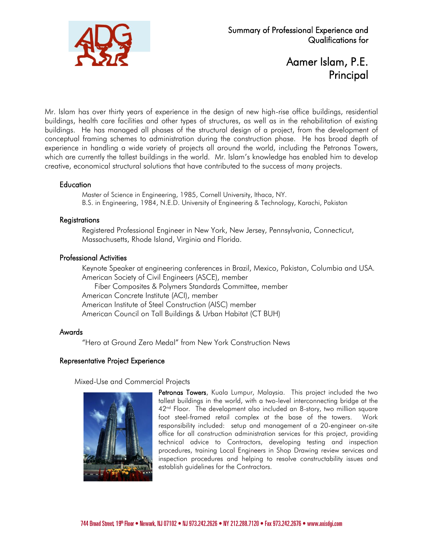

# Aamer Islam, P.E. Principal

Mr. Islam has over thirty years of experience in the design of new high-rise office buildings, residential buildings, health care facilities and other types of structures, as well as in the rehabilitation of existing buildings. He has managed all phases of the structural design of a project, from the development of conceptual framing schemes to administration during the construction phase. He has broad depth of experience in handling a wide variety of projects all around the world, including the Petronas Towers, which are currently the tallest buildings in the world. Mr. Islam's knowledge has enabled him to develop creative, economical structural solutions that have contributed to the success of many projects.

### **Education**

Master of Science in Engineering, 1985, Cornell University, Ithaca, NY. B.S. in Engineering, 1984, N.E.D. University of Engineering & Technology, Karachi, Pakistan

### Registrations

Registered Professional Engineer in New York, New Jersey, Pennsylvania, Connecticut, Massachusetts, Rhode Island, Virginia and Florida.

### Professional Activities

Keynote Speaker at engineering conferences in Brazil, Mexico, Pakistan, Columbia and USA. American Society of Civil Engineers (ASCE), member Fiber Composites & Polymers Standards Committee, member American Concrete Institute (ACI), member American Institute of Steel Construction (AISC) member American Council on Tall Buildings & Urban Habitat (CT BUH)

#### Awards

"Hero at Ground Zero Medal" from New York Construction News

## Representative Project Experience

Mixed-Use and Commercial Projects



Petronas Towers, Kuala Lumpur, Malaysia. This project included the two tallest buildings in the world, with a two-level interconnecting bridge at the 42<sup>nd</sup> Floor. The development also included an 8-story, two million square foot steel-framed retail complex at the base of the towers. Work responsibility included: setup and management of a 20-engineer on-site office for all construction administration services for this project, providing technical advice to Contractors, developing testing and inspection procedures, training Local Engineers in Shop Drawing review services and inspection procedures and helping to resolve constructability issues and establish guidelines for the Contractors.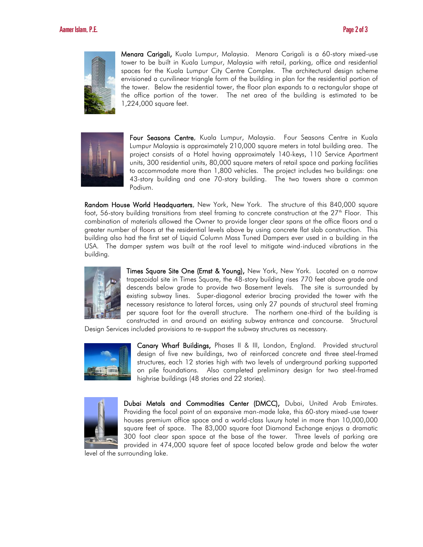

Menara Carigali, Kuala Lumpur, Malaysia. Menara Carigali is a 60-story mixed-use tower to be built in Kuala Lumpur, Malaysia with retail, parking, office and residential spaces for the Kuala Lumpur City Centre Complex. The architectural design scheme envisioned a curvilinear triangle form of the building in plan for the residential portion of the tower. Below the residential tower, the floor plan expands to a rectangular shape at the office portion of the tower. The net area of the building is estimated to be 1,224,000 square feet.



Four Seasons Centre, Kuala Lumpur, Malaysia. Four Seasons Centre in Kuala Lumpur Malaysia is approximately 210,000 square meters in total building area. The project consists of a Hotel having approximately 140-keys, 110 Service Apartment units, 300 residential units, 80,000 square meters of retail space and parking facilities to accommodate more than 1,800 vehicles. The project includes two buildings: one 43-story building and one 70-story building. The two towers share a common Podium.

Random House World Headquarters, New York, New York. The structure of this 840,000 square foot, 56-story building transitions from steel framing to concrete construction at the  $27<sup>th</sup>$  Floor. This combination of materials allowed the Owner to provide longer clear spans at the office floors and a greater number of floors at the residential levels above by using concrete flat slab construction. This building also had the first set of Liquid Column Mass Tuned Dampers ever used in a building in the USA. The damper system was built at the roof level to mitigate wind-induced vibrations in the building.



Times Square Site One (Ernst & Young), New York, New York. Located on a narrow trapezoidal site in Times Square, the 48-story building rises 770 feet above grade and descends below grade to provide two Basement levels. The site is surrounded by existing subway lines. Super-diagonal exterior bracing provided the tower with the necessary resistance to lateral forces, using only 27 pounds of structural steel framing per square foot for the overall structure. The northern one-third of the building is constructed in and around an existing subway entrance and concourse. Structural

Design Services included provisions to re-support the subway structures as necessary.



Canary Wharf Buildings, Phases II & III, London, England. Provided structural design of five new buildings, two of reinforced concrete and three steel-framed structures, each 12 stories high with two levels of underground parking supported on pile foundations. Also completed preliminary design for two steel-framed highrise buildings (48 stories and 22 stories).



Dubai Metals and Commodities Center (DMCC), Dubai, United Arab Emirates. Providing the focal point of an expansive man-made lake, this 60-story mixed-use tower houses premium office space and a world-class luxury hotel in more than 10,000,000 square feet of space. The 83,000 square foot Diamond Exchange enjoys a dramatic 300 foot clear span space at the base of the tower. Three levels of parking are provided in 474,000 square feet of space located below grade and below the water

level of the surrounding lake.